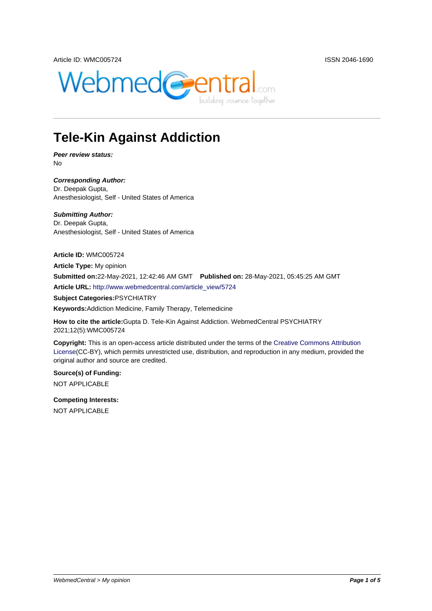

## **Tele-Kin Against Addiction**

**Peer review status:** No

**Corresponding Author:** Dr. Deepak Gupta, Anesthesiologist, Self - United States of America

**Submitting Author:** Dr. Deepak Gupta, Anesthesiologist, Self - United States of America

**Article ID:** WMC005724

**Article Type:** My opinion **Submitted on:**22-May-2021, 12:42:46 AM GMT **Published on:** 28-May-2021, 05:45:25 AM GMT **Article URL:** http://www.webmedcentral.com/article\_view/5724

**Subject Categories:**PSYCHIATRY

**Keywords:**Addiction Medicine, Family Therapy, Telemedicine

**How to cite the article:**[Gupta D. Tele-Kin Against Addiction. W](http://www.webmedcentral.com/article_view/5724)ebmedCentral PSYCHIATRY 2021;12(5):WMC005724

**Copyright:** This is an open-access article distributed under the terms of the Creative Commons Attribution License(CC-BY), which permits unrestricted use, distribution, and reproduction in any medium, provided the original author and source are credited.

**Source(s) of Funding:** [NOT AP](http://creativecommons.org/licenses/by/3.0/)PLICABLE

**Competing Interests:** NOT APPLICABLE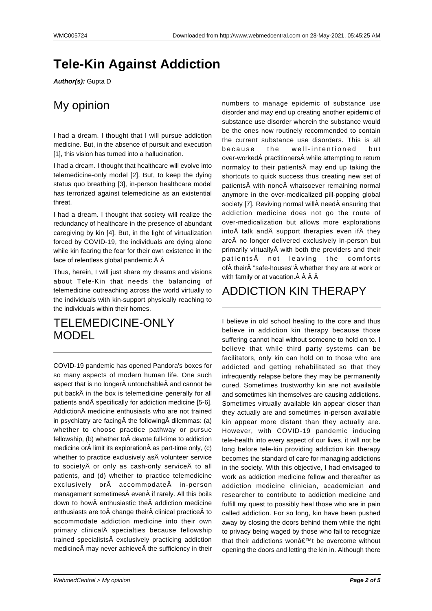## **Tele-Kin Against Addiction**

**Author(s):** Gupta D

#### My opinion

I had a dream. I thought that I will pursue addiction medicine. But, in the absence of pursuit and execution [1], this vision has turned into a hallucination.

I had a dream. I thought that healthcare will evolve into telemedicine-only model [2]. But, to keep the dying status quo breathing [3], in-person healthcare model has terrorized against telemedicine as an existential threat.

I had a dream. I thought that society will realize the redundancy of healthcare in the presence of abundant caregiving by kin [4]. But, in the light of virtualization forced by COVID-19, the individuals are dying alone while kin fearing the fear for their own existence in the face of relentless global pandemic. $\hat{A}$   $\hat{A}$ 

Thus, herein, I will just share my dreams and visions about Tele-Kin that needs the balancing of telemedicine outreaching across the world virtually to the individuals with kin-support physically reaching to the individuals within their homes.

#### TELEMEDICINE-ONLY MODEL

COVID-19 pandemic has opened Pandora's boxes for so many aspects of modern human life. One such aspect that is no longer untouchable and cannot be put back in the box is telemedicine generally for all patients and specifically for addiction medicine [5-6]. Addiction medicine enthusiasts who are not trained in psychiatry are facing $\hat{A}$  the following  $\hat{A}$  dilemmas: (a) whether to choose practice pathway or pursue fellowship, (b) whether to devote full-time to addiction medicine or $\hat{A}$  limit its exploration $\hat{A}$  as part-time only, (c) whether to practice exclusively as  $\hat{A}$  volunteer service to society or only as cash-only service to all patients, and (d) whether to practice telemedicine exclusively or $\hat{A}$  accommodate $\hat{A}$  in-person management sometimes even if rarely. All this boils down to how enthusiastic the addiction medicine enthusiasts are to change their clinical practice to accommodate addiction medicine into their own primary clinical specialties because fellowship trained specialists exclusively practicing addiction medicine $\hat{A}$  may never achieve $\hat{A}$  the sufficiency in their numbers to manage epidemic of substance use disorder and may end up creating another epidemic of substance use disorder wherein the substance would be the ones now routinely recommended to contain the current substance use disorders. This is all because the well-intentioned but over-worked practitioners while attempting to return normalcy to their patients $\hat{A}$  may end up taking the shortcuts to quick success thus creating new set of patients with none whatsoever remaining normal anymore in the over-medicalized pill-popping global society [7]. Reviving normal will need ensuring that addiction medicine does not go the route of over-medicalization but allows more explorations into $\hat{A}$  talk and $\hat{A}$  support therapies even if  $\hat{A}$  they are no longer delivered exclusively in-person but primarily virtually with both the providers and their patients not leaving the comforts of A their A "safe-houses" A whether they are at work or with family or at vacation. $\hat{A}$   $\hat{A}$   $\hat{A}$   $\hat{A}$ 

### ADDICTION KIN THERAPY

I believe in old school healing to the core and thus believe in addiction kin therapy because those suffering cannot heal without someone to hold on to. I believe that while third party systems can be facilitators, only kin can hold on to those who are addicted and getting rehabilitated so that they infrequently relapse before they may be permanently cured. Sometimes trustworthy kin are not available and sometimes kin themselves are causing addictions. Sometimes virtually available kin appear closer than they actually are and sometimes in-person available kin appear more distant than they actually are. However, with COVID-19 pandemic inducing tele-health into every aspect of our lives, it will not be long before tele-kin providing addiction kin therapy becomes the standard of care for managing addictions in the society. With this objective, I had envisaged to work as addiction medicine fellow and thereafter as addiction medicine clinician, academician and researcher to contribute to addiction medicine and fulfill my quest to possibly heal those who are in pain called addiction. For so long, kin have been pushed away by closing the doors behind them while the right to privacy being waged by those who fail to recognize that their addictions won $\hat{a} \in \mathbb{T}^M$ t be overcome without opening the doors and letting the kin in. Although there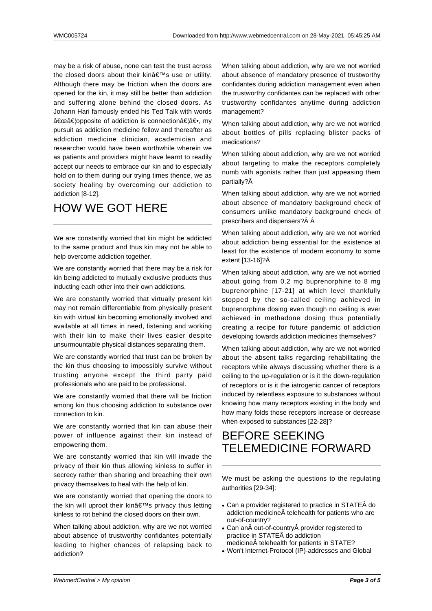may be a risk of abuse, none can test the trust across the closed doors about their kin's use or utility. Although there may be friction when the doors are opened for the kin, it may still be better than addiction and suffering alone behind the closed doors. As Johann Hari famously ended his Ted Talk with words "…opposite of addiction is connection…―, my pursuit as addiction medicine fellow and thereafter as addiction medicine clinician, academician and researcher would have been worthwhile wherein we as patients and providers might have learnt to readily accept our needs to embrace our kin and to especially hold on to them during our trying times thence, we as society healing by overcoming our addiction to addiction [8-12].

### HOW WE GOT HERE

We are constantly worried that kin might be addicted to the same product and thus kin may not be able to help overcome addiction together.

We are constantly worried that there may be a risk for kin being addicted to mutually exclusive products thus inducting each other into their own addictions.

We are constantly worried that virtually present kin may not remain differentiable from physically present kin with virtual kin becoming emotionally involved and available at all times in need, listening and working with their kin to make their lives easier despite unsurmountable physical distances separating them.

We are constantly worried that trust can be broken by the kin thus choosing to impossibly survive without trusting anyone except the third party paid professionals who are paid to be professional.

We are constantly worried that there will be friction among kin thus choosing addiction to substance over connection to kin.

We are constantly worried that kin can abuse their power of influence against their kin instead of empowering them.

We are constantly worried that kin will invade the privacy of their kin thus allowing kinless to suffer in secrecy rather than sharing and breaching their own privacy themselves to heal with the help of kin.

We are constantly worried that opening the doors to the kin will uproot their kin's privacy thus letting kinless to rot behind the closed doors on their own.

When talking about addiction, why are we not worried about absence of trustworthy confidantes potentially leading to higher chances of relapsing back to addiction?

When talking about addiction, why are we not worried about absence of mandatory presence of trustworthy confidantes during addiction management even when the trustworthy confidantes can be replaced with other trustworthy confidantes anytime during addiction management?

When talking about addiction, why are we not worried about bottles of pills replacing blister packs of medications?

When talking about addiction, why are we not worried about targeting to make the receptors completely numb with agonists rather than just appeasing them partially?

When talking about addiction, why are we not worried about absence of mandatory background check of consumers unlike mandatory background check of prescribers and dispensers? $\hat{A}$   $\hat{A}$ 

When talking about addiction, why are we not worried about addiction being essential for the existence at least for the existence of modern economy to some extent [13-16]? $\hat{A}$ 

When talking about addiction, why are we not worried about going from 0.2 mg buprenorphine to 8 mg buprenorphine [17-21] at which level thankfully stopped by the so-called ceiling achieved in buprenorphine dosing even though no ceiling is ever achieved in methadone dosing thus potentially creating a recipe for future pandemic of addiction developing towards addiction medicines themselves?

When talking about addiction, why are we not worried about the absent talks regarding rehabilitating the receptors while always discussing whether there is a ceiling to the up-regulation or is it the down-regulation of receptors or is it the iatrogenic cancer of receptors induced by relentless exposure to substances without knowing how many receptors existing in the body and how many folds those receptors increase or decrease when exposed to substances [22-28]?

#### BEFORE SEEKING TELEMEDICINE FORWARD

We must be asking the questions to the regulating authorities [29-34]:

- Can a provider registered to practice in STATEÂ do addiction medicine telehealth for patients who are out-of-country?
- Can an out-of-country provider registered to practice in STATEÂ do addiction medicine telehealth for patients in STATE?
- Won't Internet-Protocol (IP)-addresses and Global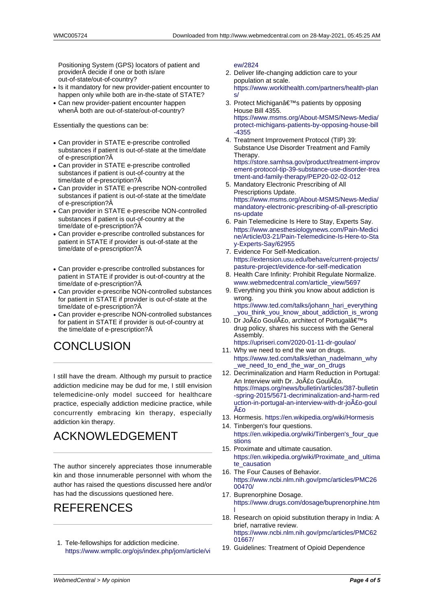Positioning System (GPS) locators of patient and provider decide if one or both is/are out-of-state/out-of-country?

- Is it mandatory for new provider-patient encounter to happen only while both are in-the-state of STATE?
- Can new provider-patient encounter happen when  $\hat{A}$  both are out-of-state/out-of-country?

Essentially the questions can be:

- Can provider in STATE e-prescribe controlled substances if patient is out-of-state at the time/date of e-prescription?
- Can provider in STATE e-prescribe controlled substances if patient is out-of-country at the time/date of e-prescription?
- Can provider in STATE e-prescribe NON-controlled substances if patient is out-of-state at the time/date of e-prescription?
- Can provider in STATE e-prescribe NON-controlled substances if patient is out-of-country at the time/date of e-prescription?
- Can provider e-prescribe controlled substances for patient in STATE if provider is out-of-state at the time/date of e-prescription?
- Can provider e-prescribe controlled substances for patient in STATE if provider is out-of-country at the time/date of e-prescription?
- Can provider e-prescribe NON-controlled substances for patient in STATE if provider is out-of-state at the time/date of e-prescription?
- Can provider e-prescribe NON-controlled substances for patient in STATE if provider is out-of-country at the time/date of e-prescription?

# **CONCLUSION**

I still have the dream. Although my pursuit to practice addiction medicine may be dud for me, I still envision telemedicine-only model succeed for healthcare practice, especially addiction medicine practice, while concurrently embracing kin therapy, especially addiction kin therapy.

# ACKNOWLEDGEMENT

The author sincerely appreciates those innumerable kin and those innumerable personnel with whom the author has raised the questions discussed here and/or has had the discussions questioned here.

## REFERENCES

1. Tele-fellowships for addiction medicine. https://www.wmpllc.org/ojs/index.php/jom/article/vi ew/2824

- 2. Deliver life-changing addiction care to your population at scale. https://www.workithealth.com/partners/health-plan s/
- 3. [Protect M](https://www.wmpllc.org/ojs/index.php/jom/article/view/2824)ichigan's patients by opposing House Bill 4355. https://www.msms.org/About-MSMS/News-Media/ [protect-michigans-patients-by-opposing-house-bill](https://www.workithealth.com/partners/health-plans/) [-4](https://www.workithealth.com/partners/health-plans/)355
- 4. Treatment Improvement Protocol (TIP) 39: Substance Use Disorder Treatment and Family [Therapy.](https://www.msms.org/About-MSMS/News-Media/protect-michigans-patients-by-opposing-house-bill-4355)

[https://store.samhsa.gov/product/treatment-improv](https://www.msms.org/About-MSMS/News-Media/protect-michigans-patients-by-opposing-house-bill-4355) [ement](https://www.msms.org/About-MSMS/News-Media/protect-michigans-patients-by-opposing-house-bill-4355)-protocol-tip-39-substance-use-disorder-trea tment-and-family-therapy/PEP20-02-02-012

- 5. Mandatory Electronic Prescribing of All Prescriptions Update. [https://www.msms.org/About-MSMS/News-Media/](https://store.samhsa.gov/product/treatment-improvement-protocol-tip-39-substance-use-disorder-treatment-and-family-therapy/PEP20-02-02-012) [mandatory-electronic-prescribing-of-all-prescriptio](https://store.samhsa.gov/product/treatment-improvement-protocol-tip-39-substance-use-disorder-treatment-and-family-therapy/PEP20-02-02-012) [ns-update](https://store.samhsa.gov/product/treatment-improvement-protocol-tip-39-substance-use-disorder-treatment-and-family-therapy/PEP20-02-02-012)
- 6. Pain Telemedicine Is Here to Stay, Experts Say. https://www.anesthesiologynews.com/Pain-Medici [ne/Article/03-21/Pain-Telemedicine-Is-Here-to-Sta](https://www.msms.org/About-MSMS/News-Media/mandatory-electronic-prescribing-of-all-prescriptions-update) [y-Experts-Say/62955](https://www.msms.org/About-MSMS/News-Media/mandatory-electronic-prescribing-of-all-prescriptions-update)
- 7. [Evidence F](https://www.msms.org/About-MSMS/News-Media/mandatory-electronic-prescribing-of-all-prescriptions-update)or Self-Medication. https://extension.usu.edu/behave/current-projects/ [pasture-project/evidence-for-self-medication](https://www.anesthesiologynews.com/Pain-Medicine/Article/03-21/Pain-Telemedicine-Is-Here-to-Stay-Experts-Say/62955)
- 8. [Health Care Infinity: Prohibit Regulate Normalize.](https://www.anesthesiologynews.com/Pain-Medicine/Article/03-21/Pain-Telemedicine-Is-Here-to-Stay-Experts-Say/62955) [www.webmedcentral.](https://www.anesthesiologynews.com/Pain-Medicine/Article/03-21/Pain-Telemedicine-Is-Here-to-Stay-Experts-Say/62955)com/article\_view/5697
- 9. [Everything you think you know about addiction is](https://extension.usu.edu/behave/current-projects/pasture-project/evidence-for-self-medication) wrong.

[https://www.ted.com/talks/johann\\_hari\\_every](https://extension.usu.edu/behave/current-projects/pasture-project/evidence-for-self-medication)thing \_you\_think\_you\_know\_about\_addiction\_is\_wrong

- 10. [Dr João Goulão, architect of Portugal'](http://www.webmedcentral.com/article_view/5697)s drug policy, shares his success with the General Assembly. [https://upriseri.com/2020-01-11-dr-goulao/](https://www.ted.com/talks/johann_hari_everything_you_think_you_know_about_addiction_is_wrong)
- 11. [Why we need to end the war on drugs.](https://www.ted.com/talks/johann_hari_everything_you_think_you_know_about_addiction_is_wrong) https://www.ted.com/talks/ethan\_nadelmann\_why we\_need\_to\_end\_the\_war\_on\_drugs
- 12. Decriminalization and Harm Reduction in Portugal: [An Interview with Dr. João Goulão.](https://upriseri.com/2020-01-11-dr-goulao/) https://maps.org/news/bulletin/articles/387-bulletin [-spring-2015/5671-decriminalization-and-harm-red](https://www.ted.com/talks/ethan_nadelmann_why_we_need_to_end_the_war_on_drugs) [uction-in-portugal-an-interview-with-dr-](https://www.ted.com/talks/ethan_nadelmann_why_we_need_to_end_the_war_on_drugs)joão-goul ão
- 13. Hormesis. https://en.wikipedia.org/wiki/Hormesis
- 14. [Tinbergen's four questions.](https://maps.org/news/bulletin/articles/387-bulletin-spring-2015/5671-decriminalization-and-harm-reduction-in-portugal-an-interview-with-dr-joÃ£o-goulÃ£o) [https://en.wikipedia.org/wiki/Tinbergen's\\_four\\_que](https://maps.org/news/bulletin/articles/387-bulletin-spring-2015/5671-decriminalization-and-harm-reduction-in-portugal-an-interview-with-dr-joÃ£o-goulÃ£o) stions
- 15. [Prox](https://maps.org/news/bulletin/articles/387-bulletin-spring-2015/5671-decriminalization-and-harm-reduction-in-portugal-an-interview-with-dr-joÃ£o-goulÃ£o)imate and ultimate causation. https://en.[wikipedia.org/wiki/Proximate\\_and\\_ultim](https://en.wikipedia.org/wiki/Hormesis)a te\_causation
- 16. [The Four Causes of Behavior.](https://en.wikipedia.org/wiki/Tinbergen) [https:/](https://en.wikipedia.org/wiki/Tinbergen)/www.ncbi.nlm.nih.gov/pmc/articles/PMC26 00470/
- 17. [Buprenorphine Dosage.](https://en.wikipedia.org/wiki/Proximate_and_ultimate_causation) [https://www.d](https://en.wikipedia.org/wiki/Proximate_and_ultimate_causation)rugs.com/dosage/buprenorphine.htm l
- 18. [Research on opioid substitution therapy in India: A](https://www.ncbi.nlm.nih.gov/pmc/articles/PMC2600470/) [brief, na](https://www.ncbi.nlm.nih.gov/pmc/articles/PMC2600470/)rrative review. https://www.ncbi.nlm.nih.gov/pmc/articles/PMC62 [01667/](https://www.drugs.com/dosage/buprenorphine.html)
- 19. [G](https://www.drugs.com/dosage/buprenorphine.html)uidelines: Treatment of Opioid Dependence